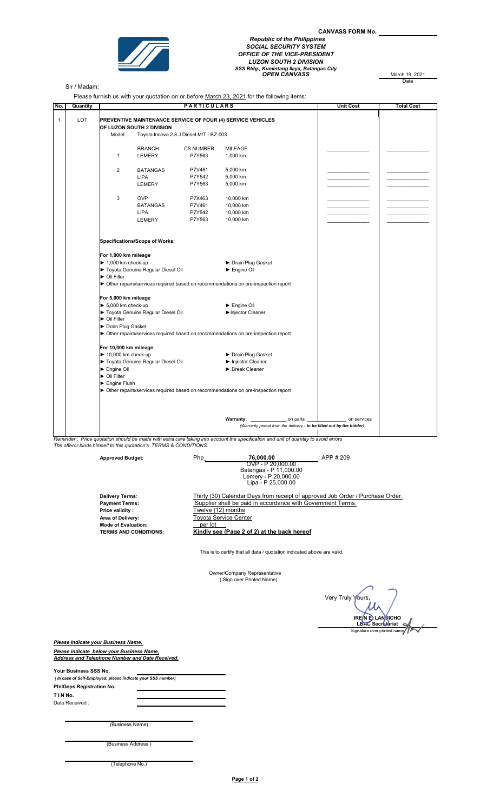

## CANVASS FORM No. Republic of the Philippines SOCIAL SECURITY SYSTEM OFFICE OF THE VICE-PRESIDENT LUZON SOUTH 2 DIVISION<br>SSS Bldg., Kumintang Ilaya, Batangas City<br>OPEN CANVASS March 19, 2021

March 19, 2021

## Sir / Madam:

Please furnish us with your quotation on or before March 23, 2021 for the following items:

|              |                                   |                                                                                                                                     |                                                                                          |                                         | Please furnish us with your quotation on or before <u>March 23, 2021</u> for the following items: |                  |                   |
|--------------|-----------------------------------|-------------------------------------------------------------------------------------------------------------------------------------|------------------------------------------------------------------------------------------|-----------------------------------------|---------------------------------------------------------------------------------------------------|------------------|-------------------|
| No.          | Quantity                          |                                                                                                                                     |                                                                                          | <b>PARTICULARS</b>                      |                                                                                                   | <b>Unit Cost</b> | <b>Total Cost</b> |
| $\mathbf{1}$ | LOT                               |                                                                                                                                     | PREVENTIVE MAINTENANCE SERVICE OF FOUR (4) SERVICE VEHICLES<br>OF LUZON SOUTH 2 DIVISION |                                         |                                                                                                   |                  |                   |
|              |                                   | Model:                                                                                                                              |                                                                                          | Toyota Innova 2.8 J Diesel M/T - BZ-003 |                                                                                                   |                  |                   |
|              |                                   |                                                                                                                                     |                                                                                          |                                         |                                                                                                   |                  |                   |
|              |                                   |                                                                                                                                     | <b>BRANCH</b>                                                                            | <b>CS NUMBER</b>                        | <b>MILEAGE</b>                                                                                    |                  |                   |
|              |                                   | $\mathbf{1}$                                                                                                                        | LEMERY                                                                                   | P7Y563                                  | 1,000 km                                                                                          |                  |                   |
|              |                                   | $\overline{2}$                                                                                                                      | <b>BATANGAS</b>                                                                          | P7V461                                  | 5,000 km                                                                                          |                  |                   |
|              |                                   |                                                                                                                                     | <b>LIPA</b>                                                                              | P7Y542                                  | 5,000 km                                                                                          |                  |                   |
|              |                                   |                                                                                                                                     | LEMERY                                                                                   | P7Y563                                  | 5,000 km                                                                                          |                  |                   |
|              |                                   | 3                                                                                                                                   | <b>OVP</b>                                                                               | P7X463                                  | 10,000 km                                                                                         |                  |                   |
|              |                                   |                                                                                                                                     | <b>BATANGAS</b>                                                                          | P7V461                                  | 10,000 km                                                                                         |                  |                   |
|              |                                   |                                                                                                                                     | <b>LIPA</b>                                                                              | P7Y542                                  | 10,000 km                                                                                         |                  |                   |
|              |                                   |                                                                                                                                     | LEMERY                                                                                   | P7Y563                                  | 10,000 km                                                                                         |                  |                   |
|              |                                   |                                                                                                                                     |                                                                                          |                                         |                                                                                                   |                  |                   |
|              |                                   |                                                                                                                                     | Specifications/Scope of Works:                                                           |                                         |                                                                                                   |                  |                   |
|              |                                   | For 1,000 km mileage                                                                                                                |                                                                                          |                                         |                                                                                                   |                  |                   |
|              |                                   | $\blacktriangleright$ 1,000 km check-up                                                                                             |                                                                                          |                                         | Drain Plug Gasket                                                                                 |                  |                   |
|              |                                   | Toyota Genuine Regular Diesel Oil                                                                                                   |                                                                                          |                                         | Engine Oil                                                                                        |                  |                   |
|              |                                   | ▶ Oil Filter                                                                                                                        |                                                                                          |                                         |                                                                                                   |                  |                   |
|              |                                   |                                                                                                                                     | • Other repairs/services required based on recommendations on pre-inspection report      |                                         |                                                                                                   |                  |                   |
|              |                                   | For 5,000 km mileage                                                                                                                |                                                                                          |                                         |                                                                                                   |                  |                   |
|              |                                   | $\blacktriangleright$ 5,000 km check-up                                                                                             |                                                                                          | $\blacktriangleright$ Engine Oil        |                                                                                                   |                  |                   |
|              |                                   | Toyota Genuine Regular Diesel Oil                                                                                                   |                                                                                          | Injector Cleaner                        |                                                                                                   |                  |                   |
|              |                                   | ▶ Oil Filter                                                                                                                        |                                                                                          |                                         |                                                                                                   |                  |                   |
|              |                                   | Drain Plug Gasket                                                                                                                   |                                                                                          |                                         |                                                                                                   |                  |                   |
|              |                                   | • Other repairs/services required based on recommendations on pre-inspection report                                                 |                                                                                          |                                         |                                                                                                   |                  |                   |
|              |                                   | For 10,000 km mileage                                                                                                               |                                                                                          |                                         |                                                                                                   |                  |                   |
|              |                                   | $\blacktriangleright$ 10,000 km check-up                                                                                            |                                                                                          |                                         | ▶ Drain Plug Gasket                                                                               |                  |                   |
|              | Toyota Genuine Regular Diesel Oil |                                                                                                                                     |                                                                                          | Injector Cleaner                        |                                                                                                   |                  |                   |
|              |                                   | Engine Oil                                                                                                                          |                                                                                          |                                         | Break Cleaner                                                                                     |                  |                   |
|              |                                   | ▶ Oil Filter                                                                                                                        |                                                                                          |                                         |                                                                                                   |                  |                   |
|              |                                   | $\blacktriangleright$ Engine Flush                                                                                                  |                                                                                          |                                         |                                                                                                   |                  |                   |
|              |                                   |                                                                                                                                     | • Other repairs/services required based on recommendations on pre-inspection report      |                                         |                                                                                                   |                  |                   |
|              |                                   |                                                                                                                                     |                                                                                          |                                         | Warranty: on parts                                                                                | on services      |                   |
|              |                                   |                                                                                                                                     |                                                                                          |                                         | (Warranty period from the delivery - to be filled out by the bidder)                              |                  |                   |
|              |                                   | Peminder: Price quotation should be made with extra care taking into account the specification and unit of quantity to avoid errors |                                                                                          |                                         |                                                                                                   |                  |                   |

Reminder : Price quotation should be made with extra care taking into account the specification and unit of quantity to avoid errors The offeror binds himself to this quotation's TERMS & CONDITIONS.

Approved Budget: Php\_\_\_\_\_\_\_\_\_\_\_\_\_\_\_\_\_\_\_\_ ; 76,000.00 ; APP # 209 OVP - P 20,000.00 Batangas - P 11,000.00 Lemery - P 20,000.00 Lipa - P 25,000.00 Thirty (30) Calendar Days from receipt of approved Job Order / Purchase Order. Payment Terms: Supplier shall be paid in accordance with Government Terms. Price validity :<br> **Price validity :**<br> **Price validity :**<br> **Price validity :**<br> **Price validity :**<br> **Price validity :**<br> **Price validity :**<br> **Price 2 Price 2 Price 2 Price 2 Price 2 Price 2 Price 2 Price 2 Pri** Toyota Service Center<br>\_\_per lot\_\_\_ Mode of Evaluation:<br>TERMS AND CONDITIONS: **Kindly see (Page 2 of 2) at the back hereof** Delivery Terms:

This is to certify that all data / quotation indicated above are valid.

Owner/Company Representative ( Sign over Printed Name)

 Very Truly Yours, IRE N E LANNICHO<br>LBAC Secretariat IRE N E. LANNICHO<br>LBAC Secretariat

Please Indicate your Business Name, Please indicate below your Business Name, Address and Telephone Number and Date Received.

| Your Business SSS No.                                       |  |  |  |  |  |  |
|-------------------------------------------------------------|--|--|--|--|--|--|
| (In case of Self-Employed, please indicate your SSS number) |  |  |  |  |  |  |
| <b>PhilGeps Registration No.</b>                            |  |  |  |  |  |  |
| T I N No.                                                   |  |  |  |  |  |  |
| Date Received:                                              |  |  |  |  |  |  |
|                                                             |  |  |  |  |  |  |

(Business Name)

| (Business Address) |  |
|--------------------|--|

(Telephone No.)